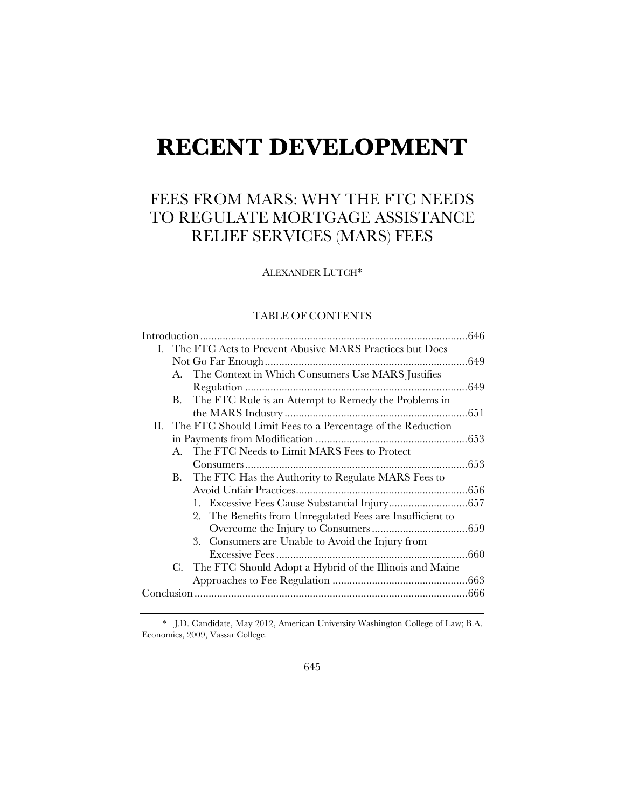# **RECENT DEVELOPMENT**

# FEES FROM MARS: WHY THE FTC NEEDS TO REGULATE MORTGAGE ASSISTANCE RELIEF SERVICES (MARS) FEES

ALEXANDER LUTCH\*

# TABLE OF CONTENTS

| I. The FTC Acts to Prevent Abusive MARS Practices but Does     |
|----------------------------------------------------------------|
|                                                                |
| A. The Context in Which Consumers Use MARS Justifies           |
|                                                                |
| The FTC Rule is an Attempt to Remedy the Problems in<br>В.     |
|                                                                |
| II. The FTC Should Limit Fees to a Percentage of the Reduction |
|                                                                |
| A. The FTC Needs to Limit MARS Fees to Protect                 |
|                                                                |
| The FTC Has the Authority to Regulate MARS Fees to<br>В.       |
|                                                                |
|                                                                |
| 2. The Benefits from Unregulated Fees are Insufficient to      |
|                                                                |
| 3. Consumers are Unable to Avoid the Injury from               |
| .660                                                           |
| C. The FTC Should Adopt a Hybrid of the Illinois and Maine     |
|                                                                |
|                                                                |

\* J.D. Candidate, May 2012, American University Washington College of Law; B.A. Economics, 2009, Vassar College.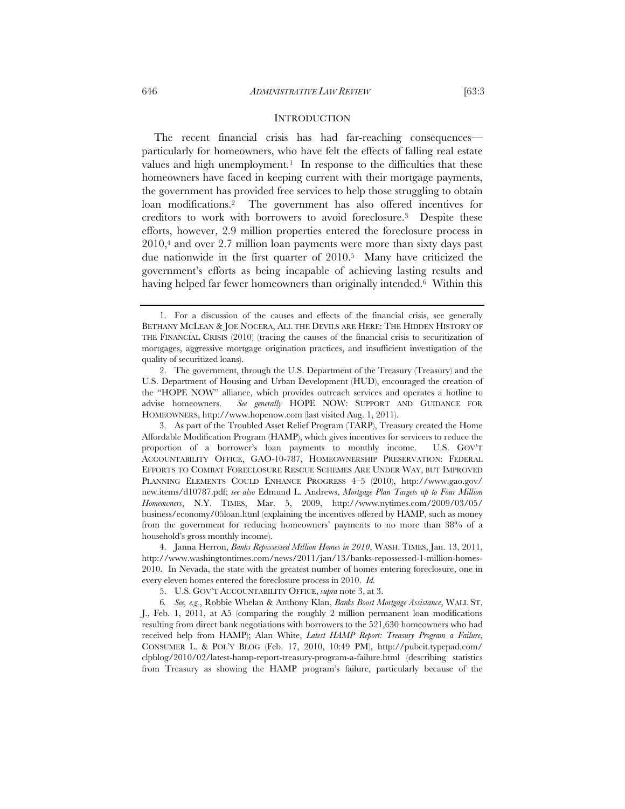#### **INTRODUCTION**

The recent financial crisis has had far-reaching consequences particularly for homeowners, who have felt the effects of falling real estate values and high unemployment.<sup>1</sup> In response to the difficulties that these homeowners have faced in keeping current with their mortgage payments, the government has provided free services to help those struggling to obtain loan modifications.2 The government has also offered incentives for creditors to work with borrowers to avoid foreclosure.3 Despite these efforts, however, 2.9 million properties entered the foreclosure process in 2010,4 and over 2.7 million loan payments were more than sixty days past due nationwide in the first quarter of 2010.5 Many have criticized the government's efforts as being incapable of achieving lasting results and having helped far fewer homeowners than originally intended.<sup>6</sup> Within this

<sup>1.</sup> For a discussion of the causes and effects of the financial crisis, see generally BETHANY MCLEAN & JOE NOCERA, ALL THE DEVILS ARE HERE: THE HIDDEN HISTORY OF THE FINANCIAL CRISIS (2010) (tracing the causes of the financial crisis to securitization of mortgages, aggressive mortgage origination practices, and insufficient investigation of the quality of securitized loans).

<sup>2.</sup> The government, through the U.S. Department of the Treasury (Treasury) and the U.S. Department of Housing and Urban Development (HUD), encouraged the creation of the "HOPE NOW" alliance, which provides outreach services and operates a hotline to advise homeowners. *See generally* HOPE NOW: SUPPORT AND GUIDANCE FOR HOMEOWNERS, http://www.hopenow.com (last visited Aug. 1, 2011).

<sup>3.</sup> As part of the Troubled Asset Relief Program (TARP), Treasury created the Home Affordable Modification Program (HAMP), which gives incentives for servicers to reduce the proportion of a borrower's loan payments to monthly income. U.S. GOV'T ACCOUNTABILITY OFFICE, GAO-10-787, HOMEOWNERSHIP PRESERVATION: FEDERAL EFFORTS TO COMBAT FORECLOSURE RESCUE SCHEMES ARE UNDER WAY, BUT IMPROVED PLANNING ELEMENTS COULD ENHANCE PROGRESS 4–5 (2010), http://www.gao.gov/ new.items/d10787.pdf; *see also* Edmund L. Andrews, *Mortgage Plan Targets up to Four Million Homeowners*, N.Y. TIMES, Mar. 5, 2009, http://www.nytimes.com/2009/03/05/ business/economy/05loan.html (explaining the incentives offered by HAMP, such as money from the government for reducing homeowners' payments to no more than 38% of a household's gross monthly income).

<sup>4.</sup> Janna Herron, *Banks Repossessed Million Homes in 2010*, WASH. TIMES, Jan. 13, 2011, http://www.washingtontimes.com/news/2011/jan/13/banks-repossessed-1-million-homes-2010. In Nevada, the state with the greatest number of homes entering foreclosure, one in every eleven homes entered the foreclosure process in 2010. *Id.*

<sup>5.</sup> U.S. GOV'T ACCOUNTABILITY OFFICE, *supra* note 3, at 3.

<sup>6</sup>*. See, e.g.*, Robbie Whelan & Anthony Klan, *Banks Boost Mortgage Assistance*, WALL ST. J., Feb. 1, 2011, at A5 (comparing the roughly 2 million permanent loan modifications resulting from direct bank negotiations with borrowers to the 521,630 homeowners who had received help from HAMP); Alan White, *Latest HAMP Report: Treasury Program a Failure*, CONSUMER L. & POL'Y BLOG (Feb. 17, 2010, 10:49 PM), http://pubcit.typepad.com/ clpblog/2010/02/latest-hamp-report-treasury-program-a-failure.html (describing statistics from Treasury as showing the HAMP program's failure, particularly because of the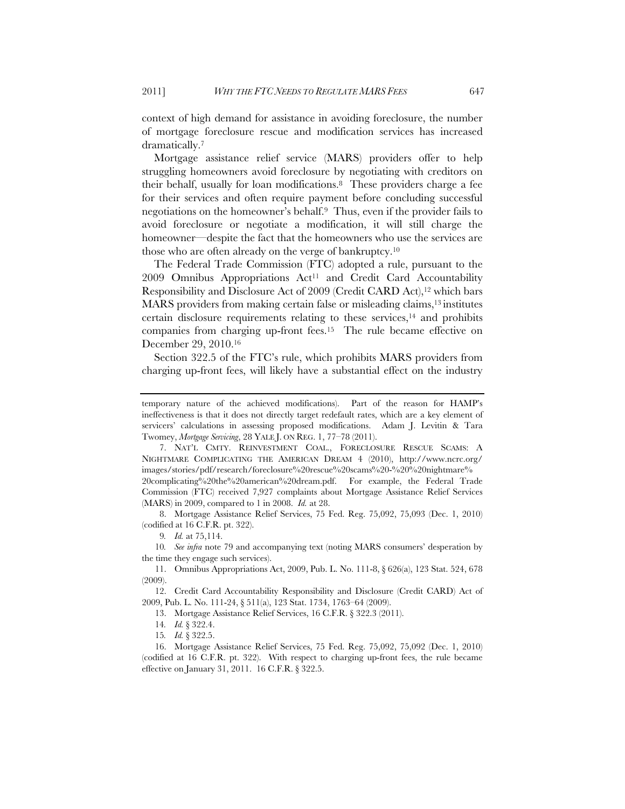context of high demand for assistance in avoiding foreclosure, the number of mortgage foreclosure rescue and modification services has increased dramatically.7

Mortgage assistance relief service (MARS) providers offer to help struggling homeowners avoid foreclosure by negotiating with creditors on their behalf, usually for loan modifications.8 These providers charge a fee for their services and often require payment before concluding successful negotiations on the homeowner's behalf.9 Thus, even if the provider fails to avoid foreclosure or negotiate a modification, it will still charge the homeowner—despite the fact that the homeowners who use the services are those who are often already on the verge of bankruptcy.10

The Federal Trade Commission (FTC) adopted a rule, pursuant to the  $2009$  Omnibus Appropriations Act<sup>11</sup> and Credit Card Accountability Responsibility and Disclosure Act of 2009 (Credit CARD Act),<sup>12</sup> which bars MARS providers from making certain false or misleading claims,13 institutes certain disclosure requirements relating to these services, $14$  and prohibits companies from charging up-front fees.15 The rule became effective on December 29, 2010.16

Section 322.5 of the FTC's rule, which prohibits MARS providers from charging up-front fees, will likely have a substantial effect on the industry

8. Mortgage Assistance Relief Services, 75 Fed. Reg. 75,092, 75,093 (Dec. 1, 2010) (codified at 16 C.F.R. pt. 322).

temporary nature of the achieved modifications). Part of the reason for HAMP's ineffectiveness is that it does not directly target redefault rates, which are a key element of servicers' calculations in assessing proposed modifications. Adam J. Levitin & Tara Twomey, *Mortgage Servicing*, 28 YALE J. ON REG. 1, 77–78 (2011).

<sup>7.</sup> NAT'L CMTY. REINVESTMENT COAL., FORECLOSURE RESCUE SCAMS: A NIGHTMARE COMPLICATING THE AMERICAN DREAM 4 (2010), http://www.ncrc.org/ images/stories/pdf/research/foreclosure%20rescue%20scams%20-%20%20nightmare% 20complicating%20the%20american%20dream.pdf. For example, the Federal Trade Commission (FTC) received 7,927 complaints about Mortgage Assistance Relief Services (MARS) in 2009, compared to 1 in 2008. *Id.* at 28.

<sup>9</sup>*. Id.* at 75,114.

<sup>10</sup>*. See infra* note 79 and accompanying text (noting MARS consumers' desperation by the time they engage such services).

<sup>11.</sup> Omnibus Appropriations Act, 2009, Pub. L. No. 111-8, § 626(a), 123 Stat. 524, 678 (2009).

<sup>12.</sup> Credit Card Accountability Responsibility and Disclosure (Credit CARD) Act of 2009, Pub. L. No. 111-24, § 511(a), 123 Stat. 1734, 1763–64 (2009).

<sup>13.</sup> Mortgage Assistance Relief Services, 16 C.F.R. § 322.3 (2011).

<sup>14</sup>*. Id.* § 322.4.

<sup>15</sup>*. Id.* § 322.5.

<sup>16.</sup> Mortgage Assistance Relief Services, 75 Fed. Reg. 75,092, 75,092 (Dec. 1, 2010) (codified at 16 C.F.R. pt. 322). With respect to charging up-front fees, the rule became effective on January 31, 2011. 16 C.F.R. § 322.5.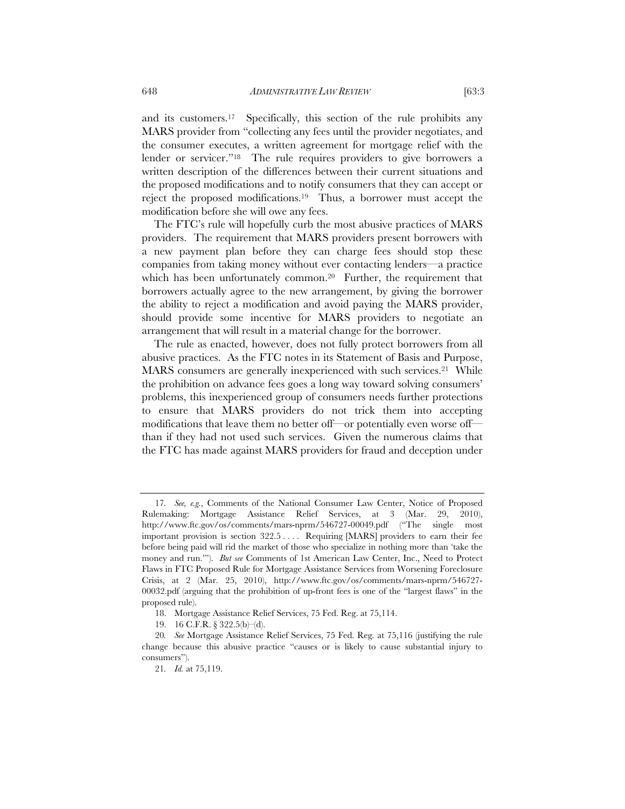and its customers.17 Specifically, this section of the rule prohibits any MARS provider from "collecting any fees until the provider negotiates, and the consumer executes, a written agreement for mortgage relief with the lender or servicer."18 The rule requires providers to give borrowers a written description of the differences between their current situations and the proposed modifications and to notify consumers that they can accept or reject the proposed modifications.19 Thus, a borrower must accept the modification before she will owe any fees.

The FTC's rule will hopefully curb the most abusive practices of MARS providers. The requirement that MARS providers present borrowers with a new payment plan before they can charge fees should stop these companies from taking money without ever contacting lenders—a practice which has been unfortunately common.<sup>20</sup> Further, the requirement that borrowers actually agree to the new arrangement, by giving the borrower the ability to reject a modification and avoid paying the MARS provider, should provide some incentive for MARS providers to negotiate an arrangement that will result in a material change for the borrower.

The rule as enacted, however, does not fully protect borrowers from all abusive practices. As the FTC notes in its Statement of Basis and Purpose, MARS consumers are generally inexperienced with such services.<sup>21</sup> While the prohibition on advance fees goes a long way toward solving consumers' problems, this inexperienced group of consumers needs further protections to ensure that MARS providers do not trick them into accepting modifications that leave them no better off—or potentially even worse off than if they had not used such services. Given the numerous claims that the FTC has made against MARS providers for fraud and deception under

<sup>17</sup>*. See, e.g.*, Comments of the National Consumer Law Center, Notice of Proposed Rulemaking: Mortgage Assistance Relief Services, at 3 (Mar. 29, 2010), http://www.ftc.gov/os/comments/mars-nprm/546727-00049.pdf ("The single most important provision is section 322.5 . . . . Requiring [MARS] providers to earn their fee before being paid will rid the market of those who specialize in nothing more than 'take the money and run.'"). *But see* Comments of 1st American Law Center, Inc., Need to Protect Flaws in FTC Proposed Rule for Mortgage Assistance Services from Worsening Foreclosure Crisis, at 2 (Mar. 25, 2010), http://www.ftc.gov/os/comments/mars-nprm/546727- 00032.pdf (arguing that the prohibition of up-front fees is one of the "largest flaws" in the proposed rule).

<sup>18.</sup> Mortgage Assistance Relief Services, 75 Fed. Reg. at 75,114.

<sup>19. 16</sup> C.F.R. § 322.5(b)–(d).

<sup>20</sup>*. See* Mortgage Assistance Relief Services, 75 Fed. Reg*.* at 75,116 (justifying the rule change because this abusive practice "causes or is likely to cause substantial injury to consumers").

<sup>21</sup>*. Id.* at 75,119.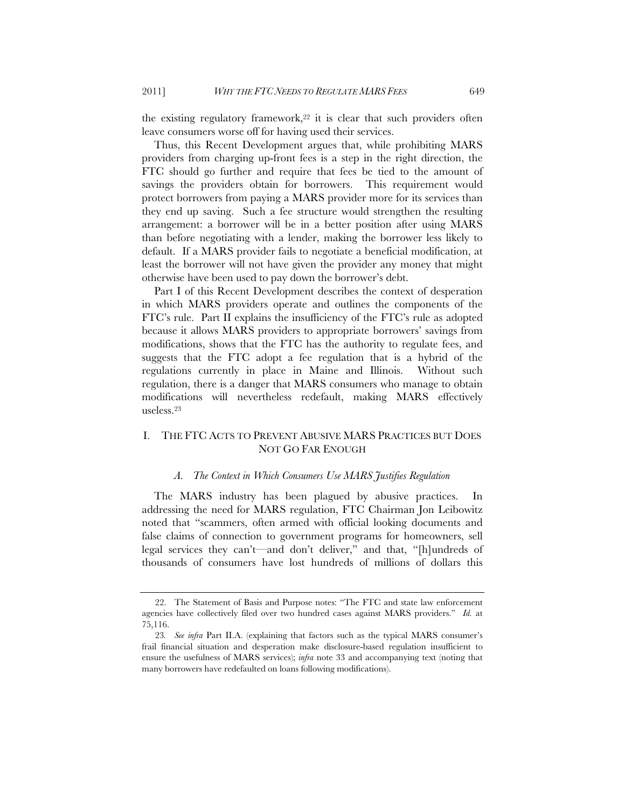the existing regulatory framework,<sup>22</sup> it is clear that such providers often leave consumers worse off for having used their services.

Thus, this Recent Development argues that, while prohibiting MARS providers from charging up-front fees is a step in the right direction, the FTC should go further and require that fees be tied to the amount of savings the providers obtain for borrowers. This requirement would protect borrowers from paying a MARS provider more for its services than they end up saving. Such a fee structure would strengthen the resulting arrangement: a borrower will be in a better position after using MARS than before negotiating with a lender, making the borrower less likely to default. If a MARS provider fails to negotiate a beneficial modification, at least the borrower will not have given the provider any money that might otherwise have been used to pay down the borrower's debt.

Part I of this Recent Development describes the context of desperation in which MARS providers operate and outlines the components of the FTC's rule. Part II explains the insufficiency of the FTC's rule as adopted because it allows MARS providers to appropriate borrowers' savings from modifications, shows that the FTC has the authority to regulate fees, and suggests that the FTC adopt a fee regulation that is a hybrid of the regulations currently in place in Maine and Illinois. Without such regulation, there is a danger that MARS consumers who manage to obtain modifications will nevertheless redefault, making MARS effectively useless.23

# I. THE FTC ACTS TO PREVENT ABUSIVE MARS PRACTICES BUT DOES NOT GO FAR ENOUGH

#### *A. The Context in Which Consumers Use MARS Justifies Regulation*

The MARS industry has been plagued by abusive practices. In addressing the need for MARS regulation, FTC Chairman Jon Leibowitz noted that "scammers, often armed with official looking documents and false claims of connection to government programs for homeowners, sell legal services they can't—and don't deliver," and that, "[h]undreds of thousands of consumers have lost hundreds of millions of dollars this

<sup>22.</sup> The Statement of Basis and Purpose notes: "The FTC and state law enforcement agencies have collectively filed over two hundred cases against MARS providers." *Id.* at 75,116.

<sup>23</sup>*. See infra* Part II.A. (explaining that factors such as the typical MARS consumer's frail financial situation and desperation make disclosure-based regulation insufficient to ensure the usefulness of MARS services); *infra* note 33 and accompanying text (noting that many borrowers have redefaulted on loans following modifications).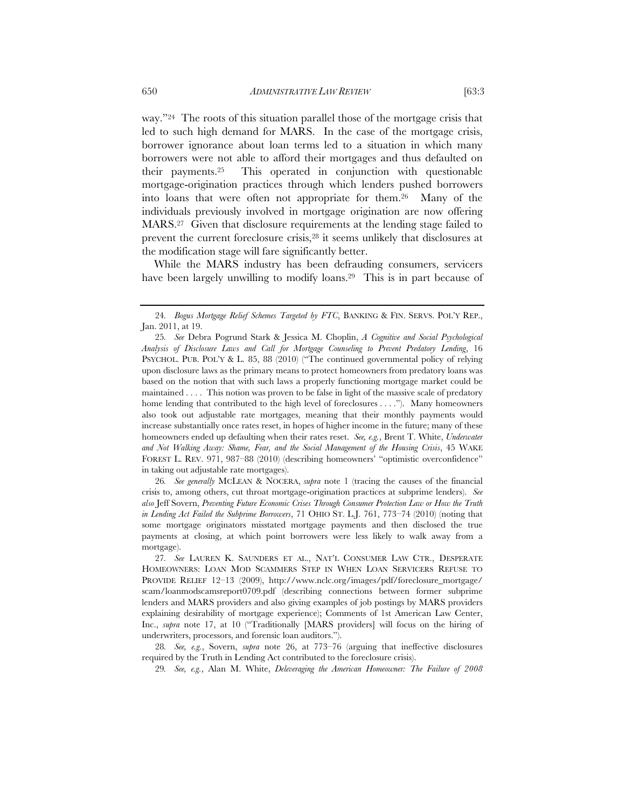way."24 The roots of this situation parallel those of the mortgage crisis that led to such high demand for MARS. In the case of the mortgage crisis, borrower ignorance about loan terms led to a situation in which many borrowers were not able to afford their mortgages and thus defaulted on their payments.25 This operated in conjunction with questionable mortgage-origination practices through which lenders pushed borrowers into loans that were often not appropriate for them.26 Many of the

individuals previously involved in mortgage origination are now offering MARS.27 Given that disclosure requirements at the lending stage failed to prevent the current foreclosure crisis,<sup>28</sup> it seems unlikely that disclosures at the modification stage will fare significantly better.

While the MARS industry has been defrauding consumers, servicers have been largely unwilling to modify loans.<sup>29</sup> This is in part because of

26*. See generally* MCLEAN & NOCERA, *supra* note 1 (tracing the causes of the financial crisis to, among others, cut throat mortgage-origination practices at subprime lenders). *See also* Jeff Sovern, *Preventing Future Economic Crises Through Consumer Protection Law or How the Truth in Lending Act Failed the Subprime Borrowers*, 71 OHIO ST. L.J. 761, 773–74 (2010) (noting that some mortgage originators misstated mortgage payments and then disclosed the true payments at closing, at which point borrowers were less likely to walk away from a mortgage).

29*. See, e.g.*, Alan M. White, *Deleveraging the American Homeowner: The Failure of 2008*

<sup>24</sup>*. Bogus Mortgage Relief Schemes Targeted by FTC*, BANKING & FIN. SERVS. POL'Y REP., Jan. 2011, at 19.

<sup>25</sup>*. See* Debra Pogrund Stark & Jessica M. Choplin, *A Cognitive and Social Psychological Analysis of Disclosure Laws and Call for Mortgage Counseling to Prevent Predatory Lending*, 16 PSYCHOL. PUB. POL'Y & L. 85, 88 (2010) ("The continued governmental policy of relying upon disclosure laws as the primary means to protect homeowners from predatory loans was based on the notion that with such laws a properly functioning mortgage market could be maintained . . . . This notion was proven to be false in light of the massive scale of predatory home lending that contributed to the high level of foreclosures . . . ."). Many homeowners also took out adjustable rate mortgages, meaning that their monthly payments would increase substantially once rates reset, in hopes of higher income in the future; many of these homeowners ended up defaulting when their rates reset. *See, e.g.*, Brent T. White, *Underwater and Not Walking Away: Shame, Fear, and the Social Management of the Housing Crisis*, 45 WAKE FOREST L. REV. 971, 987–88 (2010) (describing homeowners' "optimistic overconfidence" in taking out adjustable rate mortgages).

<sup>27</sup>*. See* LAUREN K. SAUNDERS ET AL., NAT'L CONSUMER LAW CTR., DESPERATE HOMEOWNERS: LOAN MOD SCAMMERS STEP IN WHEN LOAN SERVICERS REFUSE TO PROVIDE RELIEF 12–13 (2009), http://www.nclc.org/images/pdf/foreclosure\_mortgage/ scam/loanmodscamsreport0709.pdf (describing connections between former subprime lenders and MARS providers and also giving examples of job postings by MARS providers explaining desirability of mortgage experience); Comments of 1st American Law Center, Inc., *supra* note 17, at 10 ("Traditionally [MARS providers] will focus on the hiring of underwriters, processors, and forensic loan auditors.").

<sup>28</sup>*. See, e.g.*, Sovern, *supra* note 26, at 773–76 (arguing that ineffective disclosures required by the Truth in Lending Act contributed to the foreclosure crisis).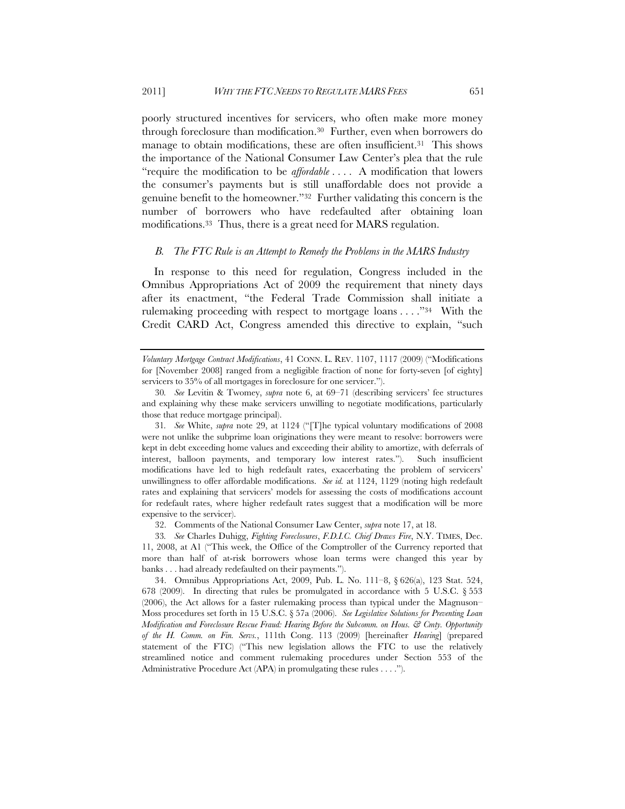poorly structured incentives for servicers, who often make more money through foreclosure than modification.30 Further, even when borrowers do manage to obtain modifications, these are often insufficient.<sup>31</sup> This shows the importance of the National Consumer Law Center's plea that the rule "require the modification to be *affordable* . . . . A modification that lowers the consumer's payments but is still unaffordable does not provide a genuine benefit to the homeowner."32 Further validating this concern is the number of borrowers who have redefaulted after obtaining loan modifications.33 Thus, there is a great need for MARS regulation.

#### *B. The FTC Rule is an Attempt to Remedy the Problems in the MARS Industry*

In response to this need for regulation, Congress included in the Omnibus Appropriations Act of 2009 the requirement that ninety days after its enactment, "the Federal Trade Commission shall initiate a rulemaking proceeding with respect to mortgage loans . . . ."34 With the Credit CARD Act, Congress amended this directive to explain, "such

31*. See* White, *supra* note 29, at 1124 ("[T]he typical voluntary modifications of 2008 were not unlike the subprime loan originations they were meant to resolve: borrowers were kept in debt exceeding home values and exceeding their ability to amortize, with deferrals of interest, balloon payments, and temporary low interest rates."). Such insufficient modifications have led to high redefault rates, exacerbating the problem of servicers' unwillingness to offer affordable modifications. *See id.* at 1124, 1129 (noting high redefault rates and explaining that servicers' models for assessing the costs of modifications account for redefault rates, where higher redefault rates suggest that a modification will be more expensive to the servicer).

32. Comments of the National Consumer Law Center, *supra* note 17, at 18.

33*. See* Charles Duhigg, *Fighting Foreclosures*, *F.D.I.C. Chief Draws Fire*, N.Y. TIMES, Dec. 11, 2008, at A1 ("This week, the Office of the Comptroller of the Currency reported that more than half of at-risk borrowers whose loan terms were changed this year by banks . . . had already redefaulted on their payments.").

34. Omnibus Appropriations Act, 2009, Pub. L. No. 111–8, § 626(a), 123 Stat. 524, 678 (2009). In directing that rules be promulgated in accordance with 5 U.S.C. § 553 (2006), the Act allows for a faster rulemaking process than typical under the Magnuson– Moss procedures set forth in 15 U.S.C. § 57a (2006). *See Legislative Solutions for Preventing Loan Modification and Foreclosure Rescue Fraud: Hearing Before the Subcomm. on Hous. & Cmty. Opportunity of the H. Comm. on Fin. Servs.*, 111th Cong. 113 (2009) [hereinafter *Hearing*] (prepared statement of the FTC) ("This new legislation allows the FTC to use the relatively streamlined notice and comment rulemaking procedures under Section 553 of the Administrative Procedure Act (APA) in promulgating these rules . . . .").

*Voluntary Mortgage Contract Modifications*, 41 CONN. L. REV. 1107, 1117 (2009) ("Modifications for [November 2008] ranged from a negligible fraction of none for forty-seven [of eighty] servicers to 35% of all mortgages in foreclosure for one servicer.").

<sup>30</sup>*. See* Levitin & Twomey, *supra* note 6, at 69–71 (describing servicers' fee structures and explaining why these make servicers unwilling to negotiate modifications, particularly those that reduce mortgage principal).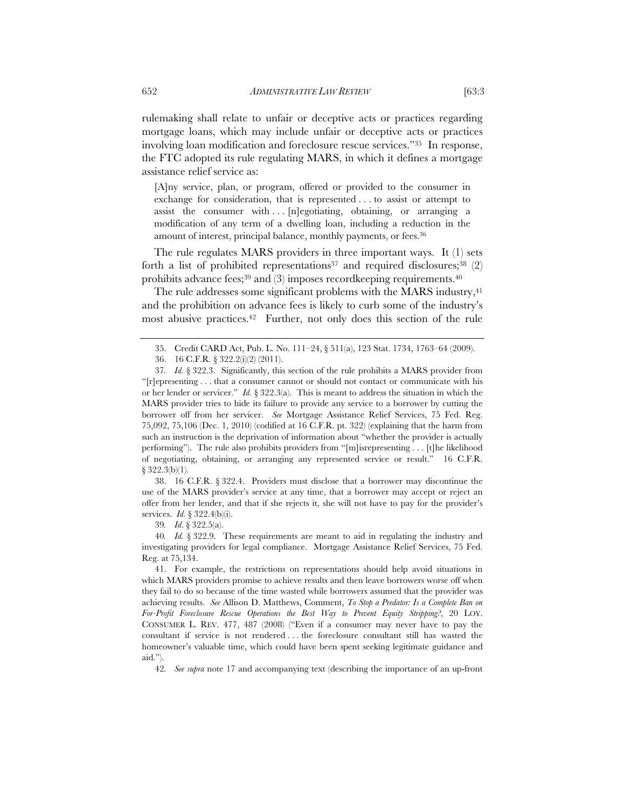rulemaking shall relate to unfair or deceptive acts or practices regarding mortgage loans, which may include unfair or deceptive acts or practices involving loan modification and foreclosure rescue services."35 In response, the FTC adopted its rule regulating MARS, in which it defines a mortgage assistance relief service as:

[A]ny service, plan, or program, offered or provided to the consumer in exchange for consideration, that is represented . . . to assist or attempt to assist the consumer with  $\ldots$  [n]egotiating, obtaining, or arranging a modification of any term of a dwelling loan, including a reduction in the amount of interest, principal balance, monthly payments, or fees.<sup>36</sup>

The rule regulates MARS providers in three important ways. It (1) sets forth a list of prohibited representations<sup>37</sup> and required disclosures;<sup>38</sup> (2) prohibits advance fees;<sup>39</sup> and  $(3)$  imposes recordkeeping requirements.<sup>40</sup>

The rule addresses some significant problems with the MARS industry,<sup>41</sup> and the prohibition on advance fees is likely to curb some of the industry's most abusive practices.42 Further, not only does this section of the rule

38. 16 C.F.R. § 322.4. Providers must disclose that a borrower may discontinue the use of the MARS provider's service at any time, that a borrower may accept or reject an offer from her lender, and that if she rejects it, she will not have to pay for the provider's services. *Id.* § 322.4(b)(i).

39*. Id*. § 322.5(a).

40*. Id.* § 322.9. These requirements are meant to aid in regulating the industry and investigating providers for legal compliance. Mortgage Assistance Relief Services, 75 Fed. Reg. at 75,134.

41. For example, the restrictions on representations should help avoid situations in which MARS providers promise to achieve results and then leave borrowers worse off when they fail to do so because of the time wasted while borrowers assumed that the provider was achieving results. *See* Allison D. Matthews, Comment, *To Stop a Predator: Is a Complete Ban on For-Profit Foreclosure Rescue Operations the Best Way to Prevent Equity Stripping?*, 20 LOY. CONSUMER L. REV. 477, 487 (2008) ("Even if a consumer may never have to pay the consultant if service is not rendered . . . the foreclosure consultant still has wasted the homeowner's valuable time, which could have been spent seeking legitimate guidance and aid.").

42*. See supra* note 17 and accompanying text (describing the importance of an up-front

<sup>35.</sup> Credit CARD Act, Pub. L. No. 111–24, § 511(a), 123 Stat. 1734, 1763–64 (2009).

<sup>36.</sup> 16 C.F.R. § 322.2(i)(2) (2011).

<sup>37</sup>*. Id.* § 322.3. Significantly, this section of the rule prohibits a MARS provider from "[r]epresenting . . . that a consumer cannot or should not contact or communicate with his or her lender or servicer." *Id.* § 322.3(a). This is meant to address the situation in which the MARS provider tries to hide its failure to provide any service to a borrower by cutting the borrower off from her servicer. *See* Mortgage Assistance Relief Services, 75 Fed. Reg. 75,092, 75,106 (Dec. 1, 2010) (codified at 16 C.F.R. pt. 322) (explaining that the harm from such an instruction is the deprivation of information about "whether the provider is actually performing"). The rule also prohibits providers from "[m]isrepresenting . . . [t]he likelihood of negotiating, obtaining, or arranging any represented service or result." 16 C.F.R. § 322.3(b)(1).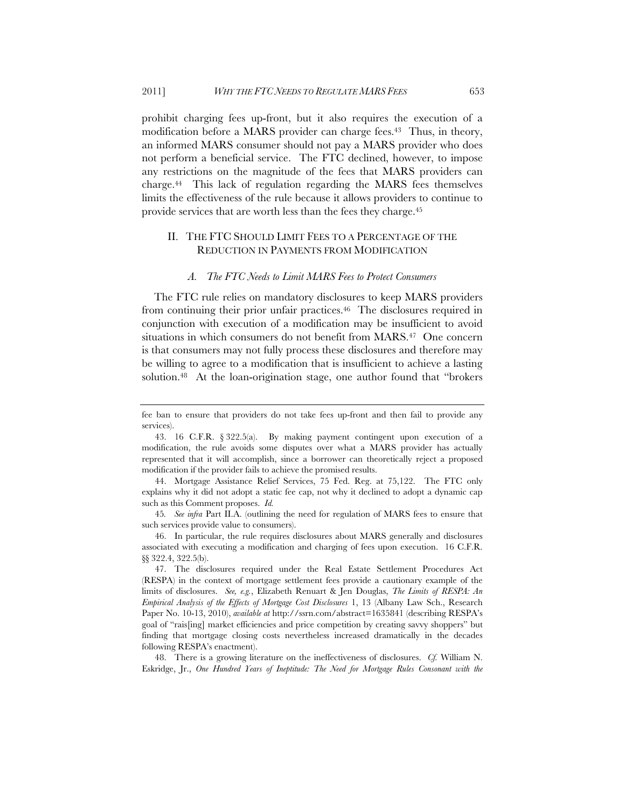prohibit charging fees up-front, but it also requires the execution of a modification before a MARS provider can charge fees.43 Thus, in theory, an informed MARS consumer should not pay a MARS provider who does not perform a beneficial service. The FTC declined, however, to impose any restrictions on the magnitude of the fees that MARS providers can charge.44 This lack of regulation regarding the MARS fees themselves limits the effectiveness of the rule because it allows providers to continue to provide services that are worth less than the fees they charge.45

## II. THE FTC SHOULD LIMIT FEES TO A PERCENTAGE OF THE REDUCTION IN PAYMENTS FROM MODIFICATION

#### *A. The FTC Needs to Limit MARS Fees to Protect Consumers*

The FTC rule relies on mandatory disclosures to keep MARS providers from continuing their prior unfair practices.<sup>46</sup> The disclosures required in conjunction with execution of a modification may be insufficient to avoid situations in which consumers do not benefit from MARS.<sup>47</sup> One concern is that consumers may not fully process these disclosures and therefore may be willing to agree to a modification that is insufficient to achieve a lasting solution.<sup>48</sup> At the loan-origination stage, one author found that "brokers"

fee ban to ensure that providers do not take fees up-front and then fail to provide any services).

<sup>43. 16</sup> C.F.R. § 322.5(a). By making payment contingent upon execution of a modification, the rule avoids some disputes over what a MARS provider has actually represented that it will accomplish, since a borrower can theoretically reject a proposed modification if the provider fails to achieve the promised results.

<sup>44.</sup> Mortgage Assistance Relief Services, 75 Fed. Reg. at 75,122. The FTC only explains why it did not adopt a static fee cap, not why it declined to adopt a dynamic cap such as this Comment proposes. *Id.*

<sup>45</sup>*. See infra* Part II.A. (outlining the need for regulation of MARS fees to ensure that such services provide value to consumers).

<sup>46.</sup> In particular, the rule requires disclosures about MARS generally and disclosures associated with executing a modification and charging of fees upon execution. 16 C.F.R. §§ 322.4, 322.5(b).

<sup>47.</sup> The disclosures required under the Real Estate Settlement Procedures Act (RESPA) in the context of mortgage settlement fees provide a cautionary example of the limits of disclosures. *See, e.g.*, Elizabeth Renuart & Jen Douglas, *The Limits of RESPA: An Empirical Analysis of the Effects of Mortgage Cost Disclosures* 1, 13 (Albany Law Sch., Research Paper No. 10-13, 2010), *available at* http://ssrn.com/abstract=1635841 (describing RESPA's goal of "rais[ing] market efficiencies and price competition by creating savvy shoppers" but finding that mortgage closing costs nevertheless increased dramatically in the decades following RESPA's enactment).

<sup>48.</sup> There is a growing literature on the ineffectiveness of disclosures. *Cf.* William N. Eskridge, Jr., *One Hundred Years of Ineptitude: The Need for Mortgage Rules Consonant with the*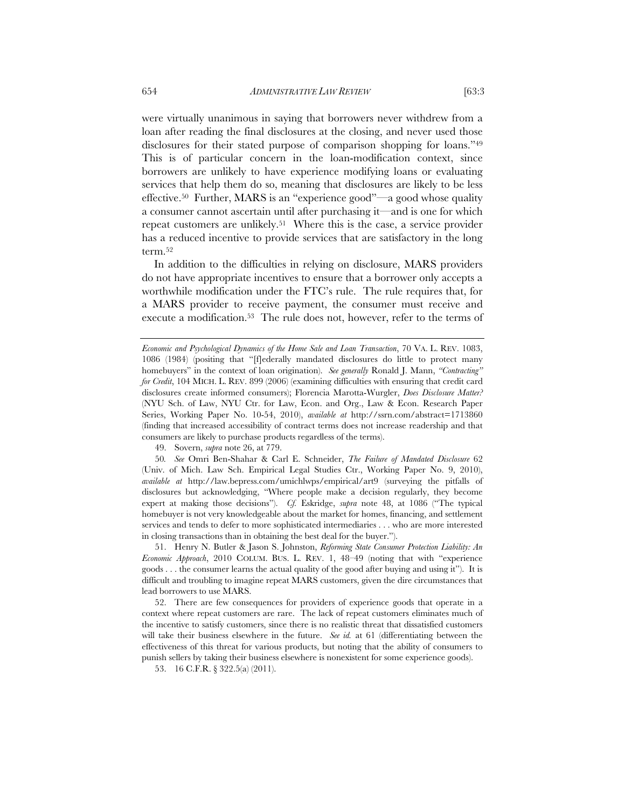were virtually unanimous in saying that borrowers never withdrew from a loan after reading the final disclosures at the closing, and never used those disclosures for their stated purpose of comparison shopping for loans."49 This is of particular concern in the loan-modification context, since borrowers are unlikely to have experience modifying loans or evaluating services that help them do so, meaning that disclosures are likely to be less effective.50 Further, MARS is an "experience good"—a good whose quality a consumer cannot ascertain until after purchasing it—and is one for which repeat customers are unlikely.51 Where this is the case, a service provider has a reduced incentive to provide services that are satisfactory in the long term.52

In addition to the difficulties in relying on disclosure, MARS providers do not have appropriate incentives to ensure that a borrower only accepts a worthwhile modification under the FTC's rule. The rule requires that, for a MARS provider to receive payment, the consumer must receive and execute a modification.<sup>53</sup> The rule does not, however, refer to the terms of

49. Sovern, *supra* note 26, at 779.

50*. See* Omri Ben-Shahar & Carl E. Schneider, *The Failure of Mandated Disclosure* 62 (Univ. of Mich. Law Sch. Empirical Legal Studies Ctr., Working Paper No. 9, 2010), *available at* http://law.bepress.com/umichlwps/empirical/art9 (surveying the pitfalls of disclosures but acknowledging, "Where people make a decision regularly, they become expert at making those decisions"). *Cf.* Eskridge, *supra* note 48, at 1086 ("The typical homebuyer is not very knowledgeable about the market for homes, financing, and settlement services and tends to defer to more sophisticated intermediaries . . . who are more interested in closing transactions than in obtaining the best deal for the buyer.").

51. Henry N. Butler & Jason S. Johnston, *Reforming State Consumer Protection Liability: An Economic Approach*, 2010 COLUM. BUS. L. REV. 1, 48–49 (noting that with "experience goods . . . the consumer learns the actual quality of the good after buying and using it"). It is difficult and troubling to imagine repeat MARS customers, given the dire circumstances that lead borrowers to use MARS.

52. There are few consequences for providers of experience goods that operate in a context where repeat customers are rare. The lack of repeat customers eliminates much of the incentive to satisfy customers, since there is no realistic threat that dissatisfied customers will take their business elsewhere in the future. *See id.* at 61 (differentiating between the effectiveness of this threat for various products, but noting that the ability of consumers to punish sellers by taking their business elsewhere is nonexistent for some experience goods).

*Economic and Psychological Dynamics of the Home Sale and Loan Transaction*, 70 VA. L. REV. 1083, 1086 (1984) (positing that "[f]ederally mandated disclosures do little to protect many homebuyers" in the context of loan origination). *See generally* Ronald J. Mann, *"Contracting" for Credit*, 104 MICH. L. REV. 899 (2006) (examining difficulties with ensuring that credit card disclosures create informed consumers); Florencia Marotta-Wurgler, *Does Disclosure Matter?* (NYU Sch. of Law, NYU Ctr. for Law, Econ. and Org., Law & Econ. Research Paper Series, Working Paper No. 10-54, 2010), *available at* http://ssrn.com/abstract=1713860 (finding that increased accessibility of contract terms does not increase readership and that consumers are likely to purchase products regardless of the terms).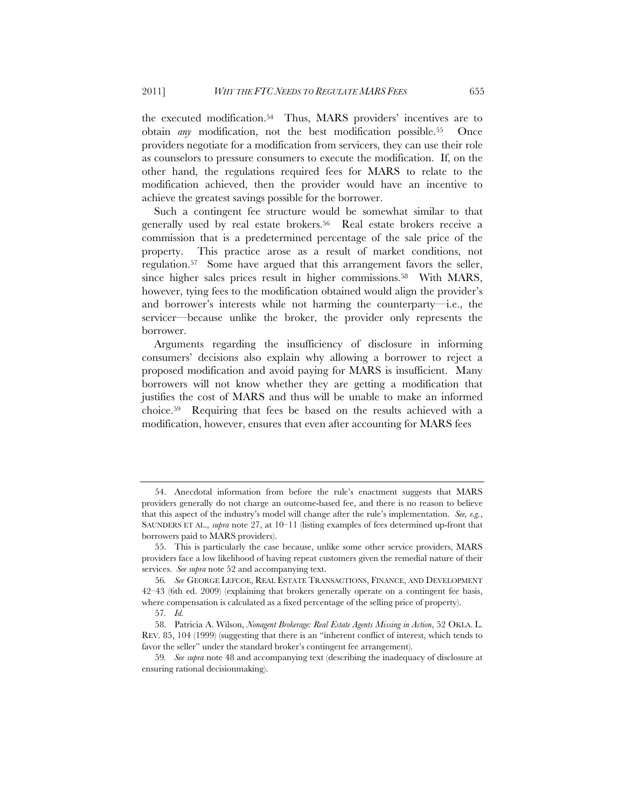the executed modification.54 Thus, MARS providers' incentives are to obtain *any* modification, not the best modification possible.55 Once providers negotiate for a modification from servicers, they can use their role as counselors to pressure consumers to execute the modification. If, on the other hand, the regulations required fees for MARS to relate to the modification achieved, then the provider would have an incentive to achieve the greatest savings possible for the borrower.

Such a contingent fee structure would be somewhat similar to that generally used by real estate brokers.<sup>56</sup> Real estate brokers receive a commission that is a predetermined percentage of the sale price of the property. This practice arose as a result of market conditions, not regulation.57 Some have argued that this arrangement favors the seller, since higher sales prices result in higher commissions.58 With MARS, however, tying fees to the modification obtained would align the provider's and borrower's interests while not harming the counterparty—i.e., the servicer—because unlike the broker, the provider only represents the borrower.

Arguments regarding the insufficiency of disclosure in informing consumers' decisions also explain why allowing a borrower to reject a proposed modification and avoid paying for MARS is insufficient. Many borrowers will not know whether they are getting a modification that justifies the cost of MARS and thus will be unable to make an informed choice.59 Requiring that fees be based on the results achieved with a modification, however, ensures that even after accounting for MARS fees

<sup>54.</sup> Anecdotal information from before the rule's enactment suggests that MARS providers generally do not charge an outcome-based fee, and there is no reason to believe that this aspect of the industry's model will change after the rule's implementation. *See, e.g.*, SAUNDERS ET AL., *supra* note 27, at 10–11 (listing examples of fees determined up-front that borrowers paid to MARS providers).

<sup>55.</sup> This is particularly the case because, unlike some other service providers, MARS providers face a low likelihood of having repeat customers given the remedial nature of their services. *See supra* note 52 and accompanying text.

<sup>56</sup>*. See* GEORGE LEFCOE, REAL ESTATE TRANSACTIONS, FINANCE, AND DEVELOPMENT 42–43 (6th ed. 2009) (explaining that brokers generally operate on a contingent fee basis, where compensation is calculated as a fixed percentage of the selling price of property).

<sup>57</sup>*. Id.*

<sup>58.</sup> Patricia A. Wilson, *Nonagent Brokerage: Real Estate Agents Missing in Action*, 52 OKLA. L. REV. 85, 104 (1999) (suggesting that there is an "inherent conflict of interest, which tends to favor the seller" under the standard broker's contingent fee arrangement).

<sup>59</sup>*. See supra* note 48 and accompanying text (describing the inadequacy of disclosure at ensuring rational decisionmaking).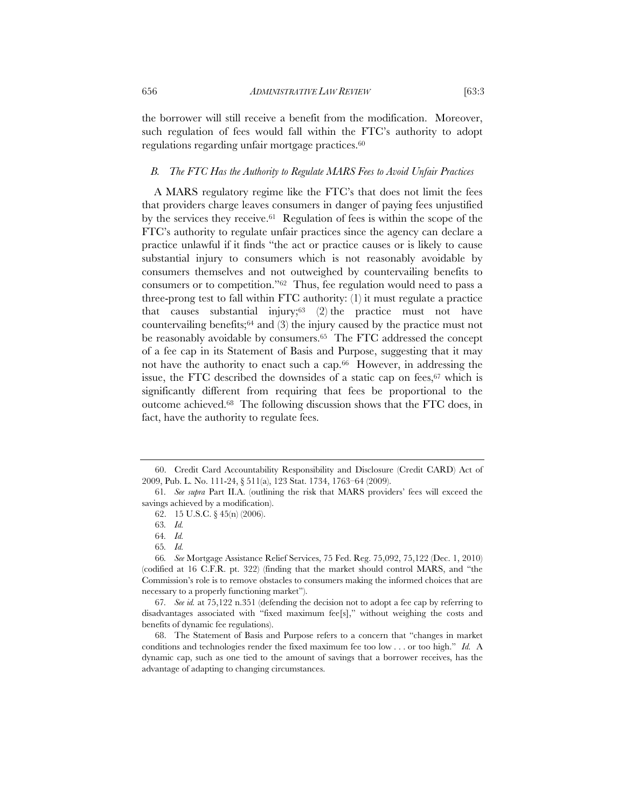the borrower will still receive a benefit from the modification. Moreover, such regulation of fees would fall within the FTC's authority to adopt regulations regarding unfair mortgage practices.60

#### *B. The FTC Has the Authority to Regulate MARS Fees to Avoid Unfair Practices*

A MARS regulatory regime like the FTC's that does not limit the fees that providers charge leaves consumers in danger of paying fees unjustified by the services they receive.61 Regulation of fees is within the scope of the FTC's authority to regulate unfair practices since the agency can declare a practice unlawful if it finds "the act or practice causes or is likely to cause substantial injury to consumers which is not reasonably avoidable by consumers themselves and not outweighed by countervailing benefits to consumers or to competition."62 Thus, fee regulation would need to pass a three-prong test to fall within FTC authority: (1) it must regulate a practice that causes substantial injury; $63$  (2) the practice must not have countervailing benefits;64 and (3) the injury caused by the practice must not be reasonably avoidable by consumers.<sup>65</sup> The FTC addressed the concept of a fee cap in its Statement of Basis and Purpose, suggesting that it may not have the authority to enact such a cap.<sup>66</sup> However, in addressing the issue, the FTC described the downsides of a static cap on fees,<sup>67</sup> which is significantly different from requiring that fees be proportional to the outcome achieved.68 The following discussion shows that the FTC does, in fact, have the authority to regulate fees.

<sup>60.</sup> Credit Card Accountability Responsibility and Disclosure (Credit CARD) Act of 2009, Pub. L. No. 111-24, § 511(a), 123 Stat. 1734, 1763–64 (2009).

<sup>61</sup>*. See supra* Part II.A. (outlining the risk that MARS providers' fees will exceed the savings achieved by a modification).

<sup>62. 15</sup> U.S.C. § 45(n) (2006).

<sup>63</sup>*. Id.*

<sup>64</sup>*. Id.*

<sup>65</sup>*. Id.*

<sup>66</sup>*. See* Mortgage Assistance Relief Services, 75 Fed. Reg. 75,092, 75,122 (Dec. 1, 2010) (codified at 16 C.F.R. pt. 322) (finding that the market should control MARS, and "the Commission's role is to remove obstacles to consumers making the informed choices that are necessary to a properly functioning market").

<sup>67</sup>*. See id.* at 75,122 n.351 (defending the decision not to adopt a fee cap by referring to disadvantages associated with "fixed maximum fee[s]," without weighing the costs and benefits of dynamic fee regulations).

<sup>68.</sup> The Statement of Basis and Purpose refers to a concern that "changes in market conditions and technologies render the fixed maximum fee too low . . . or too high." *Id.* A dynamic cap, such as one tied to the amount of savings that a borrower receives, has the advantage of adapting to changing circumstances.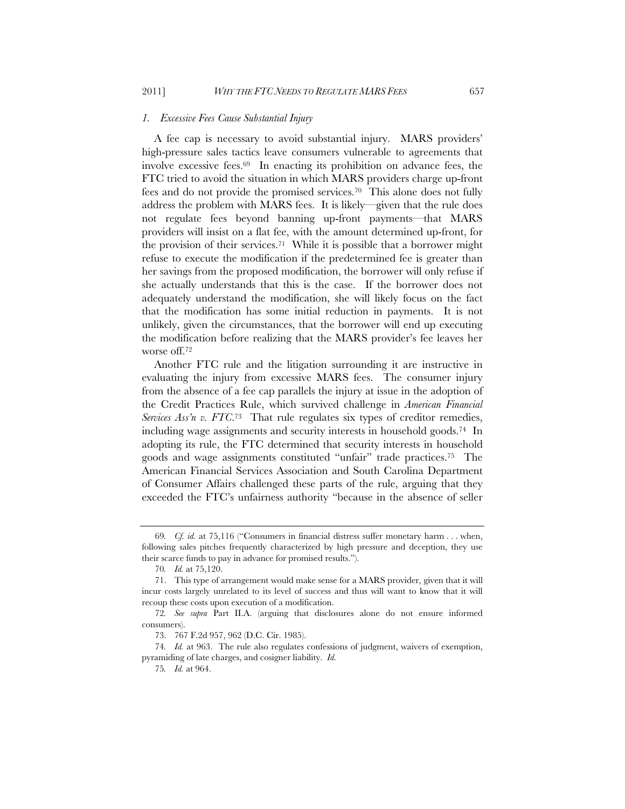#### *1. Excessive Fees Cause Substantial Injury*

A fee cap is necessary to avoid substantial injury. MARS providers' high-pressure sales tactics leave consumers vulnerable to agreements that involve excessive fees.69 In enacting its prohibition on advance fees, the FTC tried to avoid the situation in which MARS providers charge up-front fees and do not provide the promised services.70 This alone does not fully address the problem with MARS fees. It is likely—given that the rule does not regulate fees beyond banning up-front payments—that MARS providers will insist on a flat fee, with the amount determined up-front, for the provision of their services.71 While it is possible that a borrower might refuse to execute the modification if the predetermined fee is greater than her savings from the proposed modification, the borrower will only refuse if she actually understands that this is the case. If the borrower does not adequately understand the modification, she will likely focus on the fact that the modification has some initial reduction in payments. It is not unlikely, given the circumstances, that the borrower will end up executing the modification before realizing that the MARS provider's fee leaves her worse off.72

Another FTC rule and the litigation surrounding it are instructive in evaluating the injury from excessive MARS fees. The consumer injury from the absence of a fee cap parallels the injury at issue in the adoption of the Credit Practices Rule, which survived challenge in *American Financial Services Ass'n v. FTC.*<sup>73</sup> That rule regulates six types of creditor remedies, including wage assignments and security interests in household goods.74 In adopting its rule, the FTC determined that security interests in household goods and wage assignments constituted "unfair" trade practices.75 The American Financial Services Association and South Carolina Department of Consumer Affairs challenged these parts of the rule, arguing that they exceeded the FTC's unfairness authority "because in the absence of seller

<sup>69</sup>*. Cf. id.* at 75,116 ("Consumers in financial distress suffer monetary harm . . . when, following sales pitches frequently characterized by high pressure and deception, they use their scarce funds to pay in advance for promised results.").

<sup>70</sup>*. Id.* at 75,120.

<sup>71.</sup> This type of arrangement would make sense for a MARS provider, given that it will incur costs largely unrelated to its level of success and thus will want to know that it will recoup these costs upon execution of a modification.

<sup>72</sup>*. See supra* Part II.A. (arguing that disclosures alone do not ensure informed consumers).

<sup>73. 767</sup> F.2d 957, 962 (D.C. Cir. 1985).

<sup>74</sup>*. Id.* at 963. The rule also regulates confessions of judgment, waivers of exemption, pyramiding of late charges, and cosigner liability. *Id.*

<sup>75</sup>*. Id.* at 964.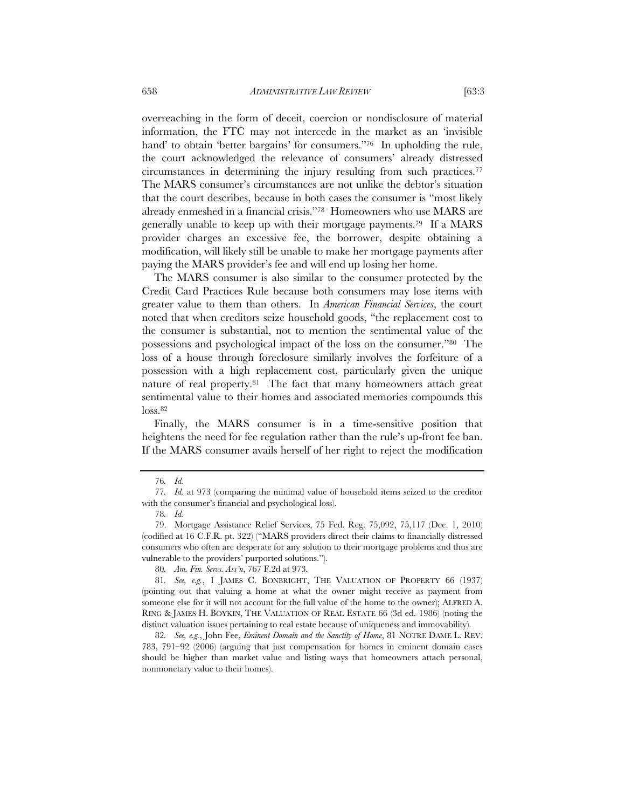overreaching in the form of deceit, coercion or nondisclosure of material information, the FTC may not intercede in the market as an 'invisible hand' to obtain 'better bargains' for consumers."<sup>76</sup> In upholding the rule, the court acknowledged the relevance of consumers' already distressed circumstances in determining the injury resulting from such practices.77 The MARS consumer's circumstances are not unlike the debtor's situation that the court describes, because in both cases the consumer is "most likely already enmeshed in a financial crisis."78 Homeowners who use MARS are generally unable to keep up with their mortgage payments.79 If a MARS provider charges an excessive fee, the borrower, despite obtaining a modification, will likely still be unable to make her mortgage payments after paying the MARS provider's fee and will end up losing her home.

The MARS consumer is also similar to the consumer protected by the Credit Card Practices Rule because both consumers may lose items with greater value to them than others. In *American Financial Services*, the court noted that when creditors seize household goods, "the replacement cost to the consumer is substantial, not to mention the sentimental value of the possessions and psychological impact of the loss on the consumer."80 The loss of a house through foreclosure similarly involves the forfeiture of a possession with a high replacement cost, particularly given the unique nature of real property.81 The fact that many homeowners attach great sentimental value to their homes and associated memories compounds this  $loss<sub>.82</sub>$ 

Finally, the MARS consumer is in a time-sensitive position that heightens the need for fee regulation rather than the rule's up-front fee ban. If the MARS consumer avails herself of her right to reject the modification

<sup>76</sup>*. Id.*

<sup>77</sup>*. Id.* at 973 (comparing the minimal value of household items seized to the creditor with the consumer's financial and psychological loss).

<sup>78</sup>*. Id.*

<sup>79.</sup> Mortgage Assistance Relief Services, 75 Fed. Reg. 75,092, 75,117 (Dec. 1, 2010) (codified at 16 C.F.R. pt. 322) ("MARS providers direct their claims to financially distressed consumers who often are desperate for any solution to their mortgage problems and thus are vulnerable to the providers' purported solutions.").

<sup>80</sup>*. Am. Fin. Servs. Ass'n*, 767 F.2d at 973*.*

<sup>81</sup>*. See, e.g.*, 1 JAMES C. BONBRIGHT, THE VALUATION OF PROPERTY 66 (1937) (pointing out that valuing a home at what the owner might receive as payment from someone else for it will not account for the full value of the home to the owner); ALFRED A. RING & JAMES H. BOYKIN, THE VALUATION OF REAL ESTATE 66 (3d ed. 1986) (noting the distinct valuation issues pertaining to real estate because of uniqueness and immovability).

<sup>82</sup>*. See, e.g.*, John Fee, *Eminent Domain and the Sanctity of Home*, 81 NOTRE DAME L. REV. 783, 791–92 (2006) (arguing that just compensation for homes in eminent domain cases should be higher than market value and listing ways that homeowners attach personal, nonmonetary value to their homes).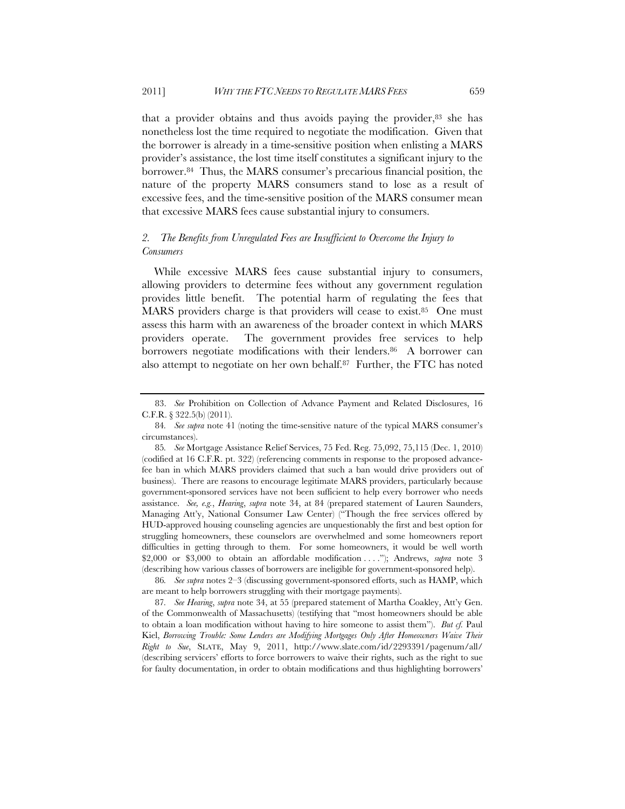that a provider obtains and thus avoids paying the provider, $83$  she has nonetheless lost the time required to negotiate the modification. Given that the borrower is already in a time-sensitive position when enlisting a MARS provider's assistance, the lost time itself constitutes a significant injury to the borrower.84 Thus, the MARS consumer's precarious financial position, the nature of the property MARS consumers stand to lose as a result of excessive fees, and the time-sensitive position of the MARS consumer mean that excessive MARS fees cause substantial injury to consumers.

# *2. The Benefits from Unregulated Fees are Insufficient to Overcome the Injury to Consumers*

While excessive MARS fees cause substantial injury to consumers, allowing providers to determine fees without any government regulation provides little benefit. The potential harm of regulating the fees that MARS providers charge is that providers will cease to exist.<sup>85</sup> One must assess this harm with an awareness of the broader context in which MARS providers operate. The government provides free services to help borrowers negotiate modifications with their lenders.<sup>86</sup> A borrower can also attempt to negotiate on her own behalf.87 Further, the FTC has noted

<sup>83.</sup> *See* Prohibition on Collection of Advance Payment and Related Disclosures, 16 C.F.R. § 322.5(b) (2011).

<sup>84</sup>*. See supra* note 41 (noting the time-sensitive nature of the typical MARS consumer's circumstances).

<sup>85</sup>*. See* Mortgage Assistance Relief Services, 75 Fed. Reg. 75,092, 75,115 (Dec. 1, 2010) (codified at 16 C.F.R. pt. 322) (referencing comments in response to the proposed advancefee ban in which MARS providers claimed that such a ban would drive providers out of business). There are reasons to encourage legitimate MARS providers, particularly because government-sponsored services have not been sufficient to help every borrower who needs assistance. *See, e.g.*, *Hearing*, *supra* note 34, at 84 (prepared statement of Lauren Saunders, Managing Att'y, National Consumer Law Center) ("Though the free services offered by HUD-approved housing counseling agencies are unquestionably the first and best option for struggling homeowners, these counselors are overwhelmed and some homeowners report difficulties in getting through to them. For some homeowners, it would be well worth \$2,000 or \$3,000 to obtain an affordable modification . . . ."); Andrews, *supra* note 3 (describing how various classes of borrowers are ineligible for government-sponsored help).

<sup>86</sup>*. See supra* notes 2–3 (discussing government-sponsored efforts, such as HAMP, which are meant to help borrowers struggling with their mortgage payments).

<sup>87</sup>*. See Hearing*, *supra* note 34, at 55 (prepared statement of Martha Coakley, Att'y Gen. of the Commonwealth of Massachusetts) (testifying that "most homeowners should be able to obtain a loan modification without having to hire someone to assist them"). *But cf.* Paul Kiel, *Borrowing Trouble: Some Lenders are Modifying Mortgages Only After Homeowners Waive Their Right to Sue*, SLATE, May 9, 2011, http://www.slate.com/id/2293391/pagenum/all/ (describing servicers' efforts to force borrowers to waive their rights, such as the right to sue for faulty documentation, in order to obtain modifications and thus highlighting borrowers'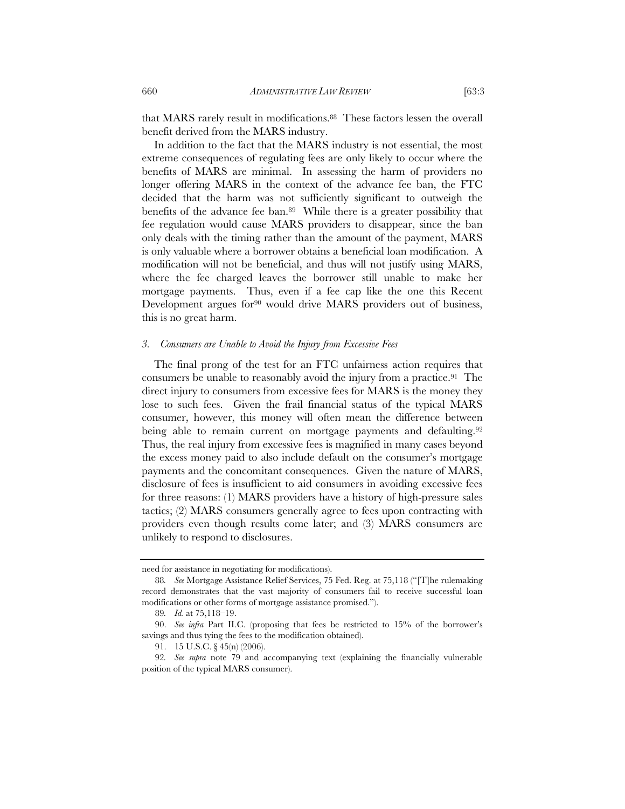that MARS rarely result in modifications.88 These factors lessen the overall benefit derived from the MARS industry.

In addition to the fact that the MARS industry is not essential, the most extreme consequences of regulating fees are only likely to occur where the benefits of MARS are minimal. In assessing the harm of providers no longer offering MARS in the context of the advance fee ban, the FTC decided that the harm was not sufficiently significant to outweigh the benefits of the advance fee ban.89 While there is a greater possibility that fee regulation would cause MARS providers to disappear, since the ban only deals with the timing rather than the amount of the payment, MARS is only valuable where a borrower obtains a beneficial loan modification. A modification will not be beneficial, and thus will not justify using MARS, where the fee charged leaves the borrower still unable to make her mortgage payments. Thus, even if a fee cap like the one this Recent Development argues for<sup>90</sup> would drive MARS providers out of business, this is no great harm.

#### *3. Consumers are Unable to Avoid the Injury from Excessive Fees*

The final prong of the test for an FTC unfairness action requires that consumers be unable to reasonably avoid the injury from a practice.91 The direct injury to consumers from excessive fees for MARS is the money they lose to such fees. Given the frail financial status of the typical MARS consumer, however, this money will often mean the difference between being able to remain current on mortgage payments and defaulting.<sup>92</sup> Thus, the real injury from excessive fees is magnified in many cases beyond the excess money paid to also include default on the consumer's mortgage payments and the concomitant consequences. Given the nature of MARS, disclosure of fees is insufficient to aid consumers in avoiding excessive fees for three reasons: (1) MARS providers have a history of high-pressure sales tactics; (2) MARS consumers generally agree to fees upon contracting with providers even though results come later; and (3) MARS consumers are unlikely to respond to disclosures.

need for assistance in negotiating for modifications).

<sup>88</sup>*. See* Mortgage Assistance Relief Services, 75 Fed. Reg. at 75,118 ("[T]he rulemaking record demonstrates that the vast majority of consumers fail to receive successful loan modifications or other forms of mortgage assistance promised.").

<sup>89</sup>*. Id.* at 75,118–19.

<sup>90.</sup> *See infra* Part II.C. (proposing that fees be restricted to 15% of the borrower's savings and thus tying the fees to the modification obtained).

<sup>91. 15</sup> U.S.C. § 45(n) (2006).

<sup>92</sup>*. See supra* note 79 and accompanying text (explaining the financially vulnerable position of the typical MARS consumer).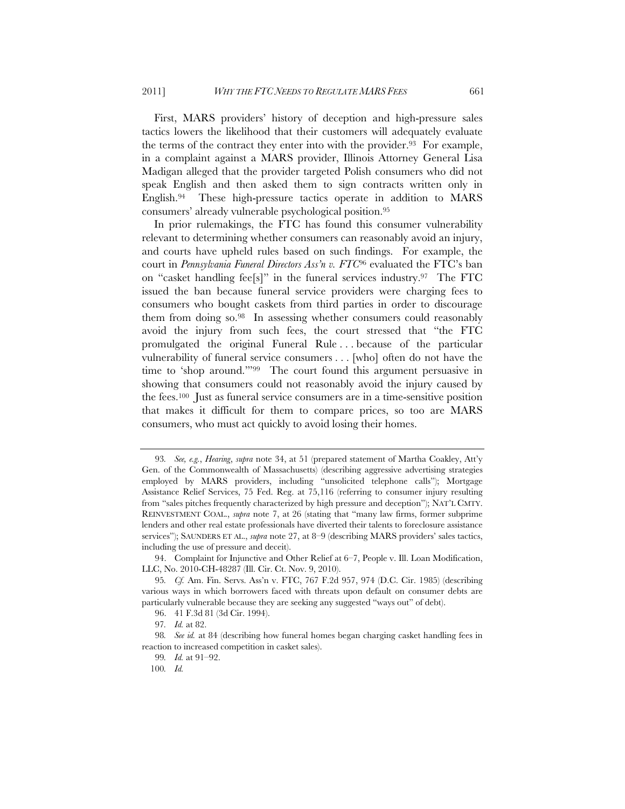First, MARS providers' history of deception and high-pressure sales tactics lowers the likelihood that their customers will adequately evaluate the terms of the contract they enter into with the provider.<sup>93</sup> For example, in a complaint against a MARS provider, Illinois Attorney General Lisa Madigan alleged that the provider targeted Polish consumers who did not speak English and then asked them to sign contracts written only in English.94 These high-pressure tactics operate in addition to MARS consumers' already vulnerable psychological position.95

In prior rulemakings, the FTC has found this consumer vulnerability relevant to determining whether consumers can reasonably avoid an injury, and courts have upheld rules based on such findings. For example, the court in *Pennsylvania Funeral Directors Ass'n v. FTC*96 evaluated the FTC's ban on "casket handling fee[s]" in the funeral services industry.97 The FTC issued the ban because funeral service providers were charging fees to consumers who bought caskets from third parties in order to discourage them from doing so.98 In assessing whether consumers could reasonably avoid the injury from such fees, the court stressed that "the FTC promulgated the original Funeral Rule . . . because of the particular vulnerability of funeral service consumers . . . [who] often do not have the time to 'shop around.'"99 The court found this argument persuasive in showing that consumers could not reasonably avoid the injury caused by the fees.100 Just as funeral service consumers are in a time-sensitive position that makes it difficult for them to compare prices, so too are MARS consumers, who must act quickly to avoid losing their homes.

<sup>93</sup>*. See, e.g.*, *Hearing*, *supra* note 34, at 51 (prepared statement of Martha Coakley, Att'y Gen. of the Commonwealth of Massachusetts) (describing aggressive advertising strategies employed by MARS providers, including "unsolicited telephone calls"); Mortgage Assistance Relief Services, 75 Fed. Reg. at 75,116 (referring to consumer injury resulting from "sales pitches frequently characterized by high pressure and deception"); NAT'L CMTY. REINVESTMENT COAL., *supra* note 7, at 26 (stating that "many law firms, former subprime lenders and other real estate professionals have diverted their talents to foreclosure assistance services"); SAUNDERS ET AL., *supra* note 27, at 8–9 (describing MARS providers' sales tactics, including the use of pressure and deceit).

<sup>94.</sup> Complaint for Injunctive and Other Relief at 6–7, People v. Ill. Loan Modification, LLC, No. 2010-CH-48287 (Ill. Cir. Ct. Nov. 9, 2010).

<sup>95</sup>*. Cf.* Am. Fin. Servs. Ass'n v. FTC, 767 F.2d 957, 974 (D.C. Cir. 1985) (describing various ways in which borrowers faced with threats upon default on consumer debts are particularly vulnerable because they are seeking any suggested "ways out" of debt).

<sup>96. 41</sup> F.3d 81 (3d Cir. 1994).

<sup>97</sup>*. Id.* at 82.

<sup>98</sup>*. See id.* at 84 (describing how funeral homes began charging casket handling fees in reaction to increased competition in casket sales).

<sup>99</sup>*. Id.* at 91–92.

<sup>100</sup>*. Id.*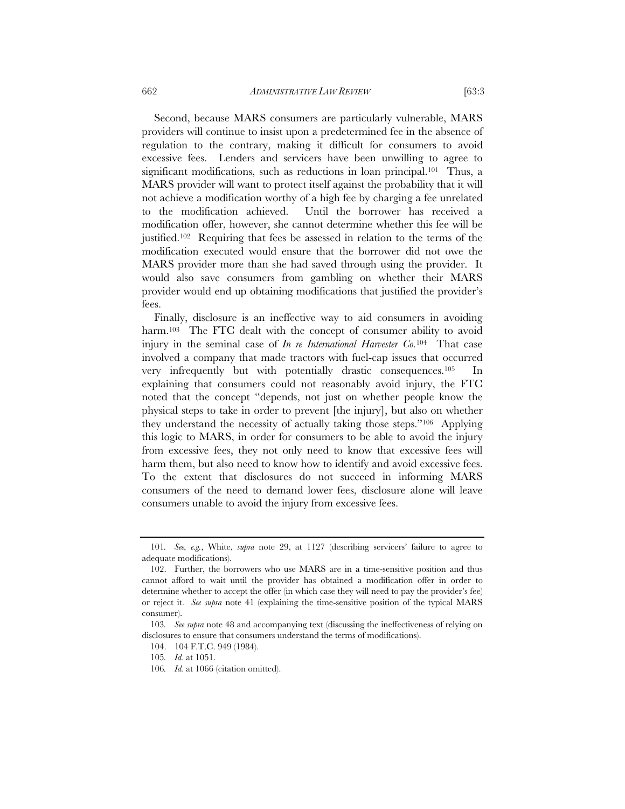Second, because MARS consumers are particularly vulnerable, MARS providers will continue to insist upon a predetermined fee in the absence of regulation to the contrary, making it difficult for consumers to avoid excessive fees. Lenders and servicers have been unwilling to agree to significant modifications, such as reductions in loan principal.<sup>101</sup> Thus, a MARS provider will want to protect itself against the probability that it will

not achieve a modification worthy of a high fee by charging a fee unrelated to the modification achieved. Until the borrower has received a modification offer, however, she cannot determine whether this fee will be justified.102 Requiring that fees be assessed in relation to the terms of the modification executed would ensure that the borrower did not owe the MARS provider more than she had saved through using the provider. It would also save consumers from gambling on whether their MARS provider would end up obtaining modifications that justified the provider's fees.

Finally, disclosure is an ineffective way to aid consumers in avoiding harm.<sup>103</sup> The FTC dealt with the concept of consumer ability to avoid injury in the seminal case of *In re International Harvester Co.*104 That case involved a company that made tractors with fuel-cap issues that occurred very infrequently but with potentially drastic consequences.105 In explaining that consumers could not reasonably avoid injury, the FTC noted that the concept "depends, not just on whether people know the physical steps to take in order to prevent [the injury], but also on whether they understand the necessity of actually taking those steps."106 Applying this logic to MARS, in order for consumers to be able to avoid the injury from excessive fees, they not only need to know that excessive fees will harm them, but also need to know how to identify and avoid excessive fees. To the extent that disclosures do not succeed in informing MARS consumers of the need to demand lower fees, disclosure alone will leave consumers unable to avoid the injury from excessive fees.

<sup>101</sup>*. See, e.g.*, White, *supra* note 29, at 1127 (describing servicers' failure to agree to adequate modifications).

 <sup>102.</sup> Further, the borrowers who use MARS are in a time-sensitive position and thus cannot afford to wait until the provider has obtained a modification offer in order to determine whether to accept the offer (in which case they will need to pay the provider's fee) or reject it. *See supra* note 41 (explaining the time-sensitive position of the typical MARS consumer).

<sup>103</sup>*. See supra* note 48 and accompanying text (discussing the ineffectiveness of relying on disclosures to ensure that consumers understand the terms of modifications).

<sup>104. 104</sup> F.T.C. 949 (1984).

<sup>105</sup>*. Id.* at 1051.

<sup>106</sup>*. Id.* at 1066 (citation omitted).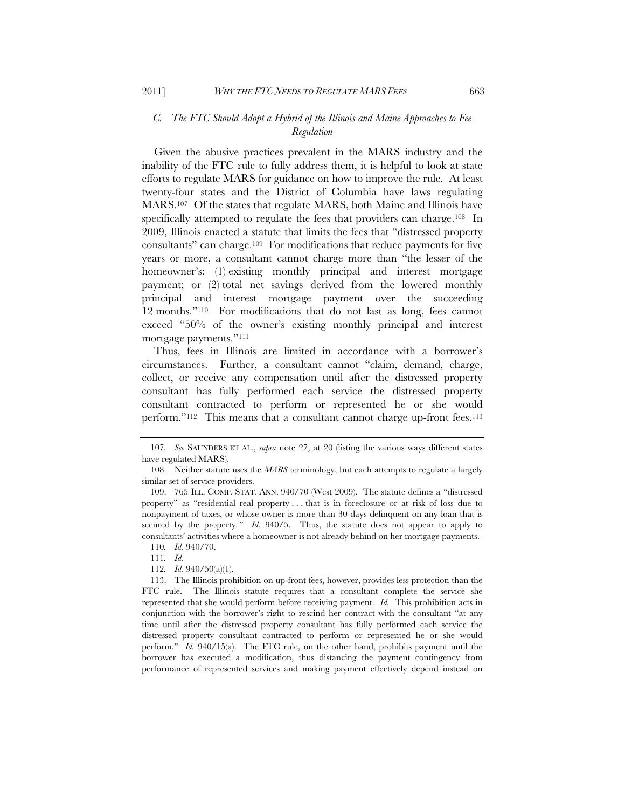### *C. The FTC Should Adopt a Hybrid of the Illinois and Maine Approaches to Fee Regulation*

Given the abusive practices prevalent in the MARS industry and the inability of the FTC rule to fully address them, it is helpful to look at state efforts to regulate MARS for guidance on how to improve the rule. At least twenty-four states and the District of Columbia have laws regulating MARS.107 Of the states that regulate MARS, both Maine and Illinois have specifically attempted to regulate the fees that providers can charge.<sup>108</sup> In 2009, Illinois enacted a statute that limits the fees that "distressed property consultants" can charge.109 For modifications that reduce payments for five years or more, a consultant cannot charge more than "the lesser of the homeowner's: (1) existing monthly principal and interest mortgage payment; or (2) total net savings derived from the lowered monthly principal and interest mortgage payment over the succeeding 12 months."110 For modifications that do not last as long, fees cannot exceed "50% of the owner's existing monthly principal and interest mortgage payments."111

Thus, fees in Illinois are limited in accordance with a borrower's circumstances. Further, a consultant cannot "claim, demand, charge, collect, or receive any compensation until after the distressed property consultant has fully performed each service the distressed property consultant contracted to perform or represented he or she would perform."<sup>112</sup> This means that a consultant cannot charge up-front fees.<sup>113</sup>

<sup>107</sup>*. See* SAUNDERS ET AL., *supra* note 27, at 20 (listing the various ways different states have regulated MARS).

 <sup>108.</sup> Neither statute uses the *MARS* terminology, but each attempts to regulate a largely similar set of service providers.

 <sup>109. 765</sup> ILL. COMP. STAT. ANN. 940/70 (West 2009). The statute defines a "distressed property" as "residential real property . . . that is in foreclosure or at risk of loss due to nonpayment of taxes, or whose owner is more than 30 days delinquent on any loan that is secured by the property*." Id.* 940/5. Thus, the statute does not appear to apply to consultants' activities where a homeowner is not already behind on her mortgage payments. 110*. Id.* 940/70.

<sup>111</sup>*. Id.*

<sup>112</sup>*. Id.* 940/50(a)(1).

<sup>113.</sup> The Illinois prohibition on up-front fees, however, provides less protection than the FTC rule. The Illinois statute requires that a consultant complete the service she represented that she would perform before receiving payment. *Id.* This prohibition acts in conjunction with the borrower's right to rescind her contract with the consultant "at any time until after the distressed property consultant has fully performed each service the distressed property consultant contracted to perform or represented he or she would perform." *Id.* 940/15(a). The FTC rule, on the other hand, prohibits payment until the borrower has executed a modification, thus distancing the payment contingency from performance of represented services and making payment effectively depend instead on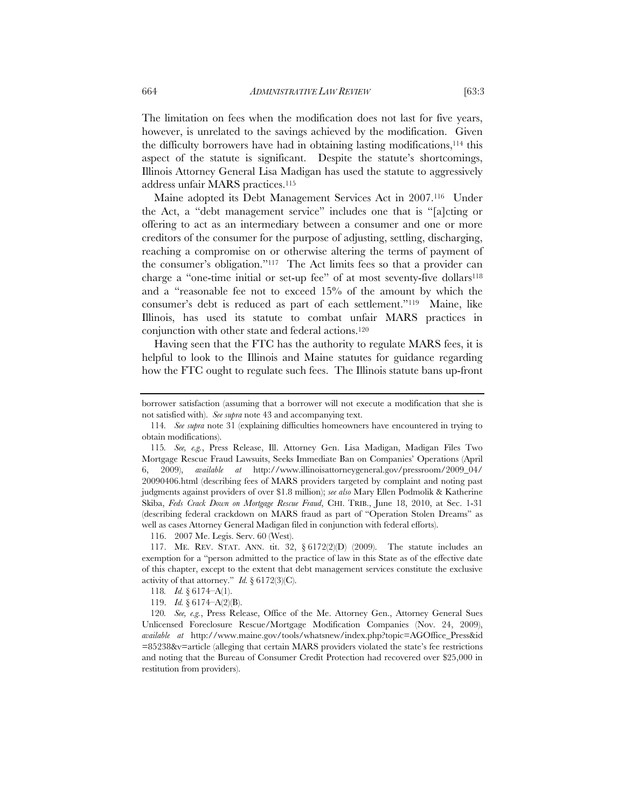The limitation on fees when the modification does not last for five years, however, is unrelated to the savings achieved by the modification. Given the difficulty borrowers have had in obtaining lasting modifications,114 this aspect of the statute is significant. Despite the statute's shortcomings, Illinois Attorney General Lisa Madigan has used the statute to aggressively address unfair MARS practices.115

Maine adopted its Debt Management Services Act in 2007.116 Under the Act, a "debt management service" includes one that is "[a]cting or offering to act as an intermediary between a consumer and one or more creditors of the consumer for the purpose of adjusting, settling, discharging, reaching a compromise on or otherwise altering the terms of payment of the consumer's obligation."117 The Act limits fees so that a provider can charge a "one-time initial or set-up fee" of at most seventy-five dollars<sup>118</sup> and a "reasonable fee not to exceed 15% of the amount by which the consumer's debt is reduced as part of each settlement."119 Maine, like Illinois, has used its statute to combat unfair MARS practices in conjunction with other state and federal actions.120

Having seen that the FTC has the authority to regulate MARS fees, it is helpful to look to the Illinois and Maine statutes for guidance regarding how the FTC ought to regulate such fees. The Illinois statute bans up-front

116. 2007 Me. Legis. Serv. 60 (West).

borrower satisfaction (assuming that a borrower will not execute a modification that she is not satisfied with). *See supra* note 43 and accompanying text.

<sup>114</sup>*. See supra* note 31 (explaining difficulties homeowners have encountered in trying to obtain modifications).

<sup>115</sup>*. See, e.g.*, Press Release, Ill. Attorney Gen. Lisa Madigan, Madigan Files Two Mortgage Rescue Fraud Lawsuits, Seeks Immediate Ban on Companies' Operations (April 6, 2009), *available at* http://www.illinoisattorneygeneral.gov/pressroom/2009\_04/ 20090406.html (describing fees of MARS providers targeted by complaint and noting past judgments against providers of over \$1.8 million); *see also* Mary Ellen Podmolik & Katherine Skiba, *Feds Crack Down on Mortgage Rescue Fraud*, CHI. TRIB., June 18, 2010, at Sec. 1-31 (describing federal crackdown on MARS fraud as part of "Operation Stolen Dreams" as well as cases Attorney General Madigan filed in conjunction with federal efforts).

 <sup>117.</sup> ME. REV. STAT. ANN. tit. 32, § 6172(2)(D) (2009). The statute includes an exemption for a "person admitted to the practice of law in this State as of the effective date of this chapter, except to the extent that debt management services constitute the exclusive activity of that attorney." *Id.*  $\{6172(3)(C)\}$ .

<sup>118</sup>*. Id.* § 6174–A(1).

 <sup>119.</sup> *Id.* § 6174–A(2)(B).

<sup>120</sup>*. See, e.g.*, Press Release, Office of the Me. Attorney Gen., Attorney General Sues Unlicensed Foreclosure Rescue/Mortgage Modification Companies (Nov. 24, 2009), *available at* http://www.maine.gov/tools/whatsnew/index.php?topic=AGOffice\_Press&id =85238&v=article (alleging that certain MARS providers violated the state's fee restrictions and noting that the Bureau of Consumer Credit Protection had recovered over \$25,000 in restitution from providers).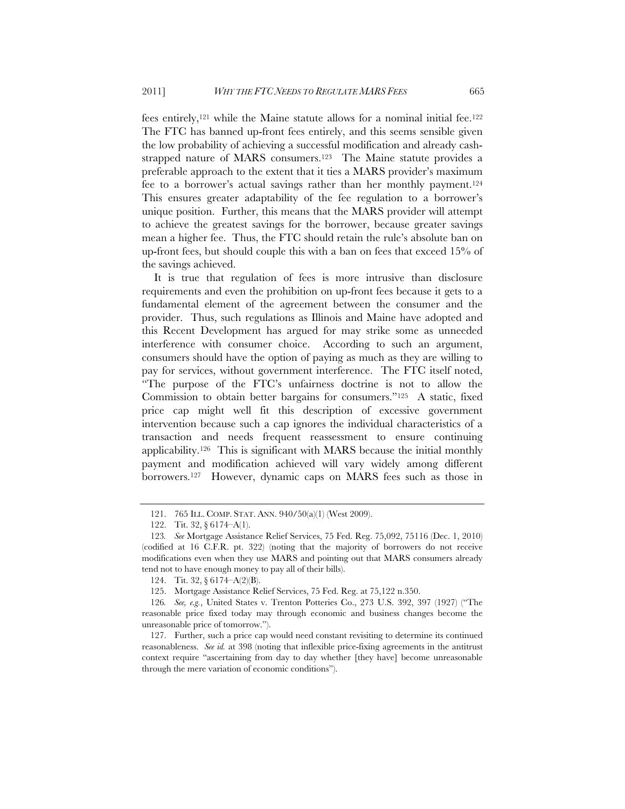fees entirely,121 while the Maine statute allows for a nominal initial fee.122 The FTC has banned up-front fees entirely, and this seems sensible given the low probability of achieving a successful modification and already cashstrapped nature of MARS consumers.123 The Maine statute provides a preferable approach to the extent that it ties a MARS provider's maximum fee to a borrower's actual savings rather than her monthly payment.124 This ensures greater adaptability of the fee regulation to a borrower's unique position. Further, this means that the MARS provider will attempt to achieve the greatest savings for the borrower, because greater savings mean a higher fee. Thus, the FTC should retain the rule's absolute ban on up-front fees, but should couple this with a ban on fees that exceed 15% of the savings achieved.

It is true that regulation of fees is more intrusive than disclosure requirements and even the prohibition on up-front fees because it gets to a fundamental element of the agreement between the consumer and the provider. Thus, such regulations as Illinois and Maine have adopted and this Recent Development has argued for may strike some as unneeded interference with consumer choice. According to such an argument, consumers should have the option of paying as much as they are willing to pay for services, without government interference. The FTC itself noted, "The purpose of the FTC's unfairness doctrine is not to allow the Commission to obtain better bargains for consumers."125 A static, fixed price cap might well fit this description of excessive government intervention because such a cap ignores the individual characteristics of a transaction and needs frequent reassessment to ensure continuing applicability.126 This is significant with MARS because the initial monthly payment and modification achieved will vary widely among different borrowers.127 However, dynamic caps on MARS fees such as those in

 127. Further, such a price cap would need constant revisiting to determine its continued reasonableness. *See id.* at 398 (noting that inflexible price-fixing agreements in the antitrust context require "ascertaining from day to day whether [they have] become unreasonable through the mere variation of economic conditions").

 <sup>121. 765</sup> ILL. COMP. STAT. ANN. 940/50(a)(1) (West 2009).

<sup>122.</sup> Tit. 32, § 6174–A(1).

<sup>123</sup>*. See* Mortgage Assistance Relief Services, 75 Fed. Reg. 75,092, 75116 (Dec. 1, 2010) (codified at 16 C.F.R. pt. 322) (noting that the majority of borrowers do not receive modifications even when they use MARS and pointing out that MARS consumers already tend not to have enough money to pay all of their bills).

<sup>124.</sup> Tit. 32, § 6174–A(2)(B).

 <sup>125.</sup> Mortgage Assistance Relief Services, 75 Fed. Reg. at 75,122 n.350.

<sup>126</sup>*. See, e.g.*, United States v. Trenton Potteries Co., 273 U.S. 392, 397 (1927) ("The reasonable price fixed today may through economic and business changes become the unreasonable price of tomorrow.").